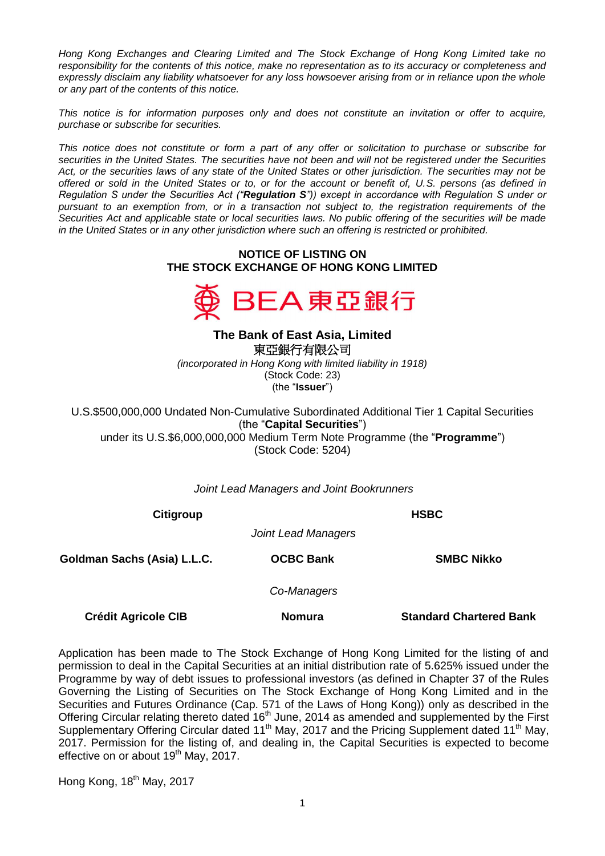*Hong Kong Exchanges and Clearing Limited and The Stock Exchange of Hong Kong Limited take no responsibility for the contents of this notice, make no representation as to its accuracy or completeness and expressly disclaim any liability whatsoever for any loss howsoever arising from or in reliance upon the whole or any part of the contents of this notice.*

*This notice is for information purposes only and does not constitute an invitation or offer to acquire, purchase or subscribe for securities.*

*This notice does not constitute or form a part of any offer or solicitation to purchase or subscribe for securities in the United States. The securities have not been and will not be registered under the Securities*  Act, or the securities laws of any state of the United States or other jurisdiction. The securities may not be *offered or sold in the United States or to, or for the account or benefit of, U.S. persons (as defined in Regulation S under the Securities Act ("Regulation S")) except in accordance with Regulation S under or pursuant to an exemption from, or in a transaction not subject to, the registration requirements of the Securities Act and applicable state or local securities laws. No public offering of the securities will be made in the United States or in any other jurisdiction where such an offering is restricted or prohibited.*

## **NOTICE OF LISTING ON THE STOCK EXCHANGE OF HONG KONG LIMITED**



**The Bank of East Asia, Limited**  東亞銀行有限公司 *(incorporated in Hong Kong with limited liability in 1918)* (Stock Code: 23) (the "**Issuer**")

U.S.\$500,000,000 Undated Non-Cumulative Subordinated Additional Tier 1 Capital Securities (the "**Capital Securities**") under its U.S.\$6,000,000,000 Medium Term Note Programme (the "**Programme**") (Stock Code: 5204)

*Joint Lead Managers and Joint Bookrunners*

**Citigroup HSBC**

*Joint Lead Managers*

**Goldman Sachs (Asia) L.L.C. OCBC Bank SMBC Nikko**

*Co-Managers*

**Crédit Agricole CIB Nomura Standard Chartered Bank**

Application has been made to The Stock Exchange of Hong Kong Limited for the listing of and permission to deal in the Capital Securities at an initial distribution rate of 5.625% issued under the Programme by way of debt issues to professional investors (as defined in Chapter 37 of the Rules Governing the Listing of Securities on The Stock Exchange of Hong Kong Limited and in the Securities and Futures Ordinance (Cap. 571 of the Laws of Hong Kong)) only as described in the Offering Circular relating thereto dated 16<sup>th</sup> June, 2014 as amended and supplemented by the First Supplementary Offering Circular dated 11<sup>th</sup> May, 2017 and the Pricing Supplement dated 11<sup>th</sup> May, 2017. Permission for the listing of, and dealing in, the Capital Securities is expected to become effective on or about  $19<sup>th</sup>$  May, 2017.

Hong Kong, 18<sup>th</sup> May, 2017